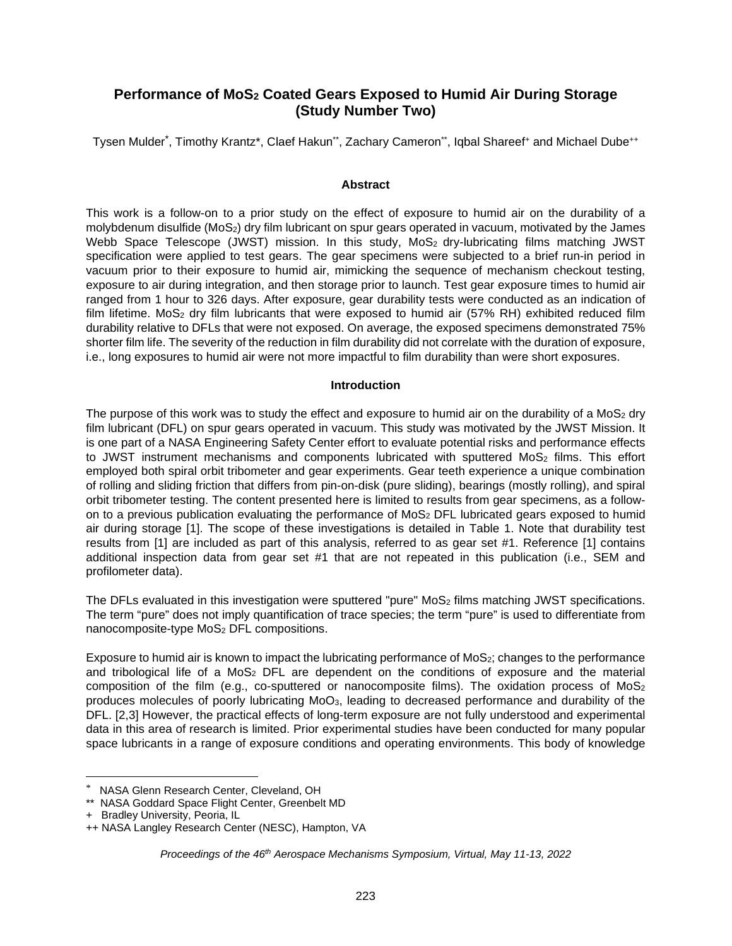# **Performance of MoS2 Coated Gears Exposed to Humid Air During Storage (Study Number Two)**

Tysen Mulder<sup>[\\*](#page-0-0)</sup>, Timothy Krantz\*, Claef Hakun\*\*, Zachary Cameron\*\*, Iqbal Shareef+ and Michael Dube++

### **Abstract**

This work is a follow-on to a prior study on the effect of exposure to humid air on the durability of a molybdenum disulfide (MoS<sub>2</sub>) dry film lubricant on spur gears operated in vacuum, motivated by the James Webb Space Telescope (JWST) mission. In this study, MoS<sub>2</sub> dry-lubricating films matching JWST specification were applied to test gears. The gear specimens were subjected to a brief run-in period in vacuum prior to their exposure to humid air, mimicking the sequence of mechanism checkout testing, exposure to air during integration, and then storage prior to launch. Test gear exposure times to humid air ranged from 1 hour to 326 days. After exposure, gear durability tests were conducted as an indication of film lifetime. MoS<sub>2</sub> dry film lubricants that were exposed to humid air (57% RH) exhibited reduced film durability relative to DFLs that were not exposed. On average, the exposed specimens demonstrated 75% shorter film life. The severity of the reduction in film durability did not correlate with the duration of exposure, i.e., long exposures to humid air were not more impactful to film durability than were short exposures.

#### **Introduction**

The purpose of this work was to study the effect and exposure to humid air on the durability of a MoS<sub>2</sub> dry film lubricant (DFL) on spur gears operated in vacuum. This study was motivated by the JWST Mission. It is one part of a NASA Engineering Safety Center effort to evaluate potential risks and performance effects to JWST instrument mechanisms and components lubricated with sputtered  $Mo<sub>2</sub>$  films. This effort employed both spiral orbit tribometer and gear experiments. Gear teeth experience a unique combination of rolling and sliding friction that differs from pin-on-disk (pure sliding), bearings (mostly rolling), and spiral orbit tribometer testing. The content presented here is limited to results from gear specimens, as a followon to a previous publication evaluating the performance of MoS<sub>2</sub> DFL lubricated gears exposed to humid air during storage [1]. The scope of these investigations is detailed in Table 1. Note that durability test results from [1] are included as part of this analysis, referred to as gear set #1. Reference [1] contains additional inspection data from gear set #1 that are not repeated in this publication (i.e., SEM and profilometer data).

The DFLs evaluated in this investigation were sputtered "pure" MoS<sub>2</sub> films matching JWST specifications. The term "pure" does not imply quantification of trace species; the term "pure" is used to differentiate from nanocomposite-type MoS<sub>2</sub> DFL compositions.

Exposure to humid air is known to impact the lubricating performance of  $MoS<sub>2</sub>$ ; changes to the performance and tribological life of a  $MoS<sub>2</sub>$  DFL are dependent on the conditions of exposure and the material composition of the film (e.g., co-sputtered or nanocomposite films). The oxidation process of  $MoS<sub>2</sub>$ produces molecules of poorly lubricating MoO3, leading to decreased performance and durability of the DFL. [2,3] However, the practical effects of long-term exposure are not fully understood and experimental data in this area of research is limited. Prior experimental studies have been conducted for many popular space lubricants in a range of exposure conditions and operating environments. This body of knowledge

<span id="page-0-0"></span>NASA Glenn Research Center, Cleveland, OH

<sup>\*\*</sup> NASA Goddard Space Flight Center, Greenbelt MD

<sup>+</sup> Bradley University, Peoria, IL

<sup>++</sup> NASA Langley Research Center (NESC), Hampton, VA

*Proceedings of the 46th Aerospace Mechanisms Symposium, Virtual, May 11-13, 2022*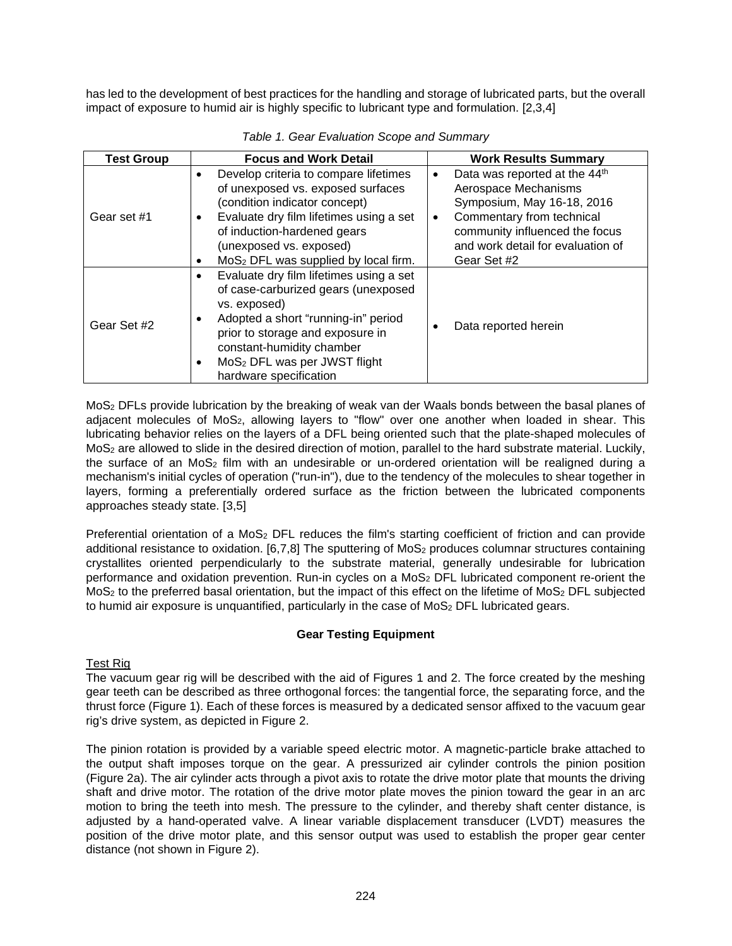has led to the development of best practices for the handling and storage of lubricated parts, but the overall impact of exposure to humid air is highly specific to lubricant type and formulation. [2,3,4]

| <b>Test Group</b> | <b>Focus and Work Detail</b>                                                                                                                                                                                                                                                                        | <b>Work Results Summary</b>                                                                                                                                                                                                                  |
|-------------------|-----------------------------------------------------------------------------------------------------------------------------------------------------------------------------------------------------------------------------------------------------------------------------------------------------|----------------------------------------------------------------------------------------------------------------------------------------------------------------------------------------------------------------------------------------------|
| Gear set #1       | Develop criteria to compare lifetimes<br>٠<br>of unexposed vs. exposed surfaces<br>(condition indicator concept)<br>Evaluate dry film lifetimes using a set<br>٠<br>of induction-hardened gears<br>(unexposed vs. exposed)<br>MoS <sub>2</sub> DFL was supplied by local firm.<br>٠                 | Data was reported at the 44 <sup>th</sup><br>$\bullet$<br>Aerospace Mechanisms<br>Symposium, May 16-18, 2016<br>Commentary from technical<br>$\bullet$<br>community influenced the focus<br>and work detail for evaluation of<br>Gear Set #2 |
| Gear Set #2       | Evaluate dry film lifetimes using a set<br>$\bullet$<br>of case-carburized gears (unexposed<br>vs. exposed)<br>Adopted a short "running-in" period<br>٠<br>prior to storage and exposure in<br>constant-humidity chamber<br>MoS <sub>2</sub> DFL was per JWST flight<br>٠<br>hardware specification | Data reported herein                                                                                                                                                                                                                         |

### *Table 1. Gear Evaluation Scope and Summary*

MoS2 DFLs provide lubrication by the breaking of weak van der Waals bonds between the basal planes of adjacent molecules of  $MoS<sub>2</sub>$ , allowing layers to "flow" over one another when loaded in shear. This lubricating behavior relies on the layers of a DFL being oriented such that the plate-shaped molecules of MoS2 are allowed to slide in the desired direction of motion, parallel to the hard substrate material. Luckily, the surface of an  $MoS<sub>2</sub>$  film with an undesirable or un-ordered orientation will be realigned during a mechanism's initial cycles of operation ("run-in"), due to the tendency of the molecules to shear together in layers, forming a preferentially ordered surface as the friction between the lubricated components approaches steady state. [3,5]

Preferential orientation of a  $MOS<sub>2</sub>$  DFL reduces the film's starting coefficient of friction and can provide additional resistance to oxidation. [6,7,8] The sputtering of MoS<sub>2</sub> produces columnar structures containing crystallites oriented perpendicularly to the substrate material, generally undesirable for lubrication performance and oxidation prevention. Run-in cycles on a MoS<sub>2</sub> DFL lubricated component re-orient the MoS<sub>2</sub> to the preferred basal orientation, but the impact of this effect on the lifetime of MoS<sub>2</sub> DFL subjected to humid air exposure is unquantified, particularly in the case of  $MoS<sub>2</sub>$  DFL lubricated gears.

# **Gear Testing Equipment**

# Test Rig

The vacuum gear rig will be described with the aid of Figures 1 and 2. The force created by the meshing gear teeth can be described as three orthogonal forces: the tangential force, the separating force, and the thrust force (Figure 1). Each of these forces is measured by a dedicated sensor affixed to the vacuum gear rig's drive system, as depicted in Figure 2.

The pinion rotation is provided by a variable speed electric motor. A magnetic-particle brake attached to the output shaft imposes torque on the gear. A pressurized air cylinder controls the pinion position (Figure 2a). The air cylinder acts through a pivot axis to rotate the drive motor plate that mounts the driving shaft and drive motor. The rotation of the drive motor plate moves the pinion toward the gear in an arc motion to bring the teeth into mesh. The pressure to the cylinder, and thereby shaft center distance, is adjusted by a hand-operated valve. A linear variable displacement transducer (LVDT) measures the position of the drive motor plate, and this sensor output was used to establish the proper gear center distance (not shown in Figure 2).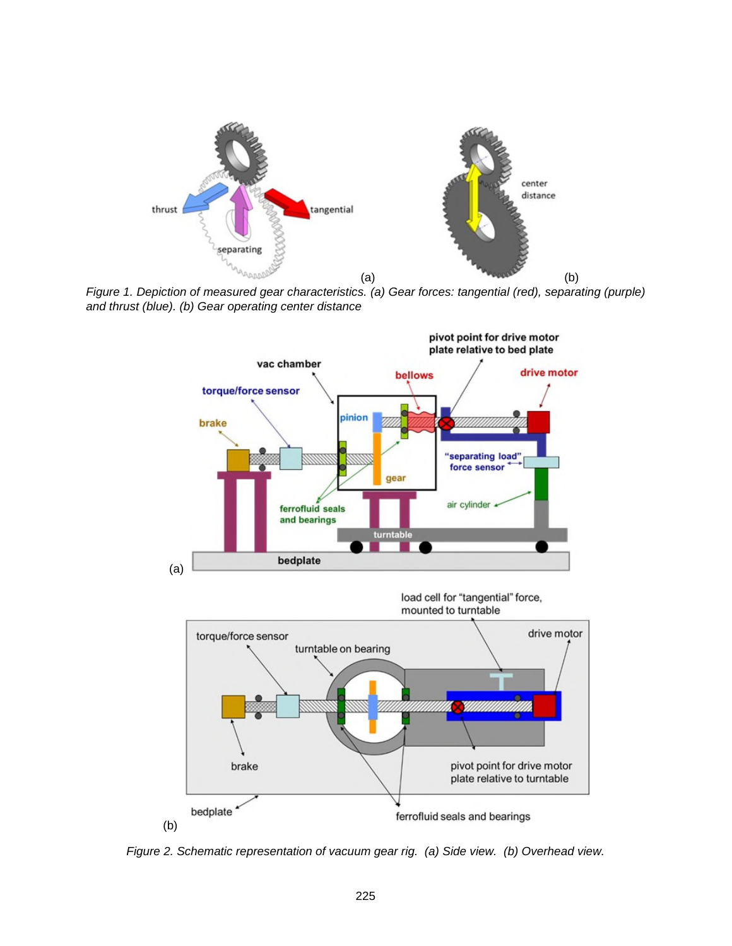

*Figure 1. Depiction of measured gear characteristics. (a) Gear forces: tangential (red), separating (purple) and thrust (blue). (b) Gear operating center distance*



*Figure 2. Schematic representation of vacuum gear rig. (a) Side view. (b) Overhead view.*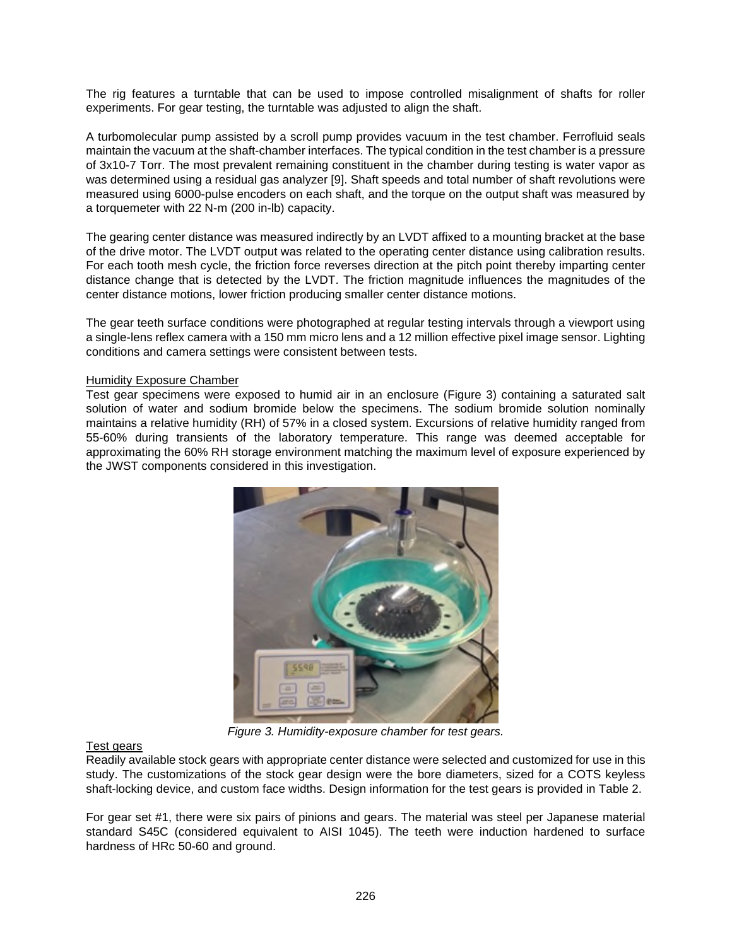The rig features a turntable that can be used to impose controlled misalignment of shafts for roller experiments. For gear testing, the turntable was adjusted to align the shaft.

A turbomolecular pump assisted by a scroll pump provides vacuum in the test chamber. Ferrofluid seals maintain the vacuum at the shaft-chamber interfaces. The typical condition in the test chamber is a pressure of 3x10-7 Torr. The most prevalent remaining constituent in the chamber during testing is water vapor as was determined using a residual gas analyzer [9]. Shaft speeds and total number of shaft revolutions were measured using 6000-pulse encoders on each shaft, and the torque on the output shaft was measured by a torquemeter with 22 N-m (200 in-lb) capacity.

The gearing center distance was measured indirectly by an LVDT affixed to a mounting bracket at the base of the drive motor. The LVDT output was related to the operating center distance using calibration results. For each tooth mesh cycle, the friction force reverses direction at the pitch point thereby imparting center distance change that is detected by the LVDT. The friction magnitude influences the magnitudes of the center distance motions, lower friction producing smaller center distance motions.

The gear teeth surface conditions were photographed at regular testing intervals through a viewport using a single-lens reflex camera with a 150 mm micro lens and a 12 million effective pixel image sensor. Lighting conditions and camera settings were consistent between tests.

### **Humidity Exposure Chamber**

Test gear specimens were exposed to humid air in an enclosure (Figure 3) containing a saturated salt solution of water and sodium bromide below the specimens. The sodium bromide solution nominally maintains a relative humidity (RH) of 57% in a closed system. Excursions of relative humidity ranged from 55-60% during transients of the laboratory temperature. This range was deemed acceptable for approximating the 60% RH storage environment matching the maximum level of exposure experienced by the JWST components considered in this investigation.



*Figure 3. Humidity-exposure chamber for test gears.* 

#### Test gears

Readily available stock gears with appropriate center distance were selected and customized for use in this study. The customizations of the stock gear design were the bore diameters, sized for a COTS keyless shaft-locking device, and custom face widths. Design information for the test gears is provided in Table 2.

For gear set #1, there were six pairs of pinions and gears. The material was steel per Japanese material standard S45C (considered equivalent to AISI 1045). The teeth were induction hardened to surface hardness of HRc 50-60 and ground.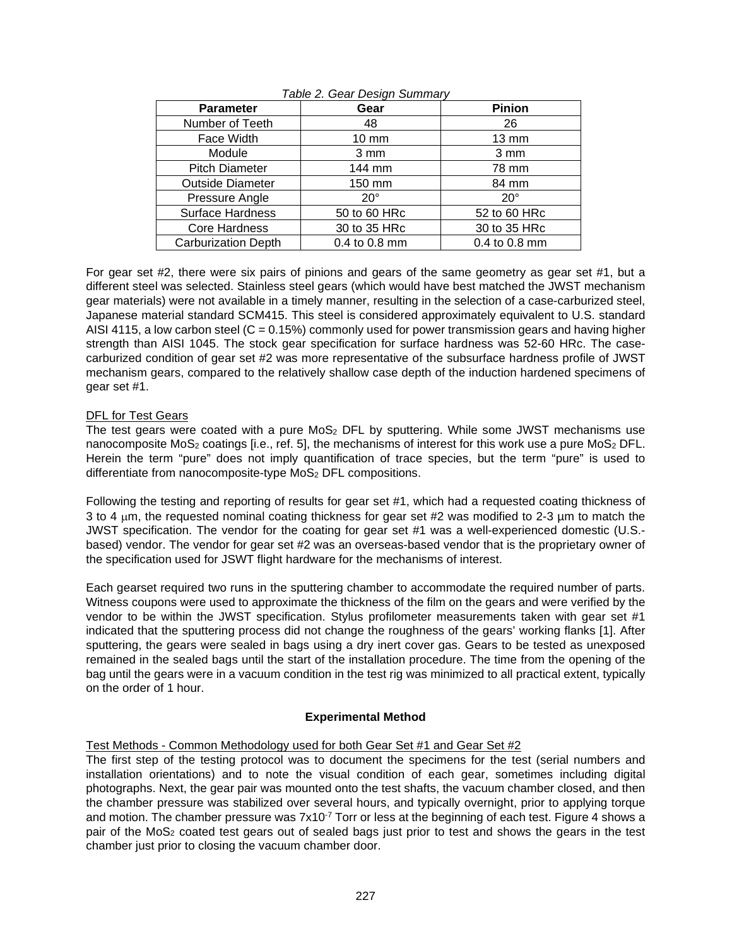| <b>Parameter</b>           | Gear             | Pinion            |  |
|----------------------------|------------------|-------------------|--|
| Number of Teeth            | 48               | 26                |  |
| Face Width                 | $10 \text{ mm}$  | $13 \, \text{mm}$ |  |
| Module                     | $3 \, \text{mm}$ | $3 \, \text{mm}$  |  |
| <b>Pitch Diameter</b>      | 144 mm           | 78 mm             |  |
| <b>Outside Diameter</b>    | 150 mm           | 84 mm             |  |
| Pressure Angle             | $20^\circ$       | $20^\circ$        |  |
| <b>Surface Hardness</b>    | 50 to 60 HRc     | 52 to 60 HRc      |  |
| Core Hardness              | 30 to 35 HRc     | 30 to 35 HRc      |  |
| <b>Carburization Depth</b> | 0.4 to 0.8 mm    | 0.4 to 0.8 mm     |  |

### *Table 2. Gear Design Summary*

For gear set #2, there were six pairs of pinions and gears of the same geometry as gear set #1, but a different steel was selected. Stainless steel gears (which would have best matched the JWST mechanism gear materials) were not available in a timely manner, resulting in the selection of a case-carburized steel, Japanese material standard SCM415. This steel is considered approximately equivalent to U.S. standard AISI 4115, a low carbon steel ( $C = 0.15\%$ ) commonly used for power transmission gears and having higher strength than AISI 1045. The stock gear specification for surface hardness was 52-60 HRc. The casecarburized condition of gear set #2 was more representative of the subsurface hardness profile of JWST mechanism gears, compared to the relatively shallow case depth of the induction hardened specimens of gear set #1.

# DFL for Test Gears

The test gears were coated with a pure MoS<sub>2</sub> DFL by sputtering. While some JWST mechanisms use nanocomposite MoS<sub>2</sub> coatings [i.e., ref. 5], the mechanisms of interest for this work use a pure MoS<sub>2</sub> DFL. Herein the term "pure" does not imply quantification of trace species, but the term "pure" is used to differentiate from nanocomposite-type MoS<sub>2</sub> DFL compositions.

Following the testing and reporting of results for gear set #1, which had a requested coating thickness of 3 to 4  $\mu$ m, the requested nominal coating thickness for gear set #2 was modified to 2-3  $\mu$ m to match the JWST specification. The vendor for the coating for gear set #1 was a well-experienced domestic (U.S. based) vendor. The vendor for gear set #2 was an overseas-based vendor that is the proprietary owner of the specification used for JSWT flight hardware for the mechanisms of interest.

Each gearset required two runs in the sputtering chamber to accommodate the required number of parts. Witness coupons were used to approximate the thickness of the film on the gears and were verified by the vendor to be within the JWST specification. Stylus profilometer measurements taken with gear set #1 indicated that the sputtering process did not change the roughness of the gears' working flanks [1]. After sputtering, the gears were sealed in bags using a dry inert cover gas. Gears to be tested as unexposed remained in the sealed bags until the start of the installation procedure. The time from the opening of the bag until the gears were in a vacuum condition in the test rig was minimized to all practical extent, typically on the order of 1 hour.

# **Experimental Method**

# Test Methods - Common Methodology used for both Gear Set #1 and Gear Set #2

The first step of the testing protocol was to document the specimens for the test (serial numbers and installation orientations) and to note the visual condition of each gear, sometimes including digital photographs. Next, the gear pair was mounted onto the test shafts, the vacuum chamber closed, and then the chamber pressure was stabilized over several hours, and typically overnight, prior to applying torque and motion. The chamber pressure was  $7x10^{-7}$  Torr or less at the beginning of each test. Figure 4 shows a pair of the MoS2 coated test gears out of sealed bags just prior to test and shows the gears in the test chamber just prior to closing the vacuum chamber door.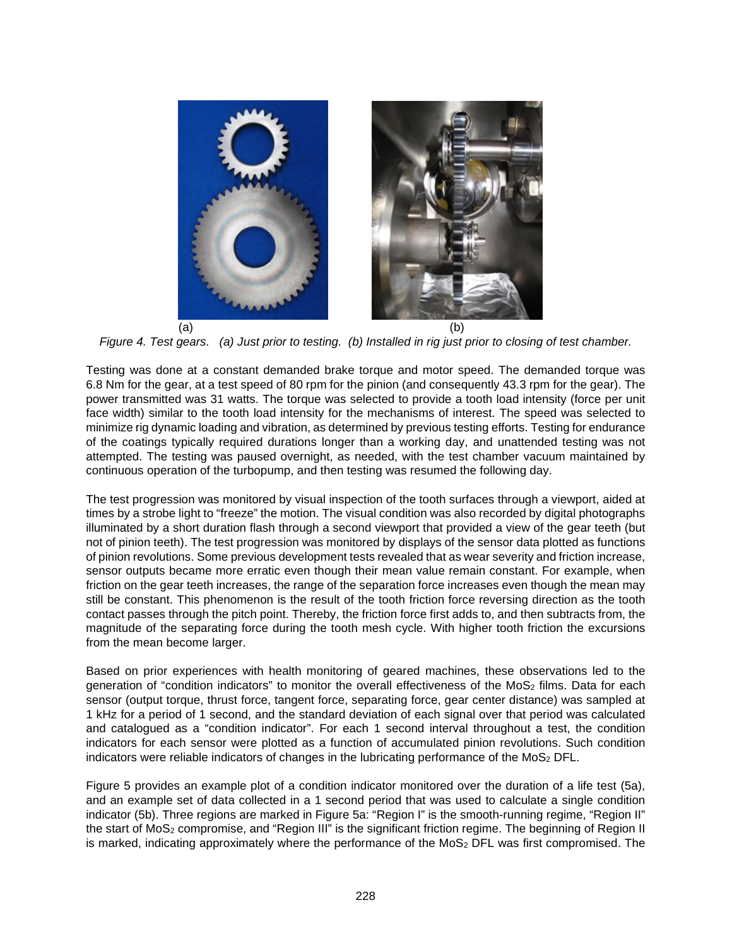

*Figure 4. Test gears. (a) Just prior to testing. (b) Installed in rig just prior to closing of test chamber.* 

Testing was done at a constant demanded brake torque and motor speed. The demanded torque was 6.8 Nm for the gear, at a test speed of 80 rpm for the pinion (and consequently 43.3 rpm for the gear). The power transmitted was 31 watts. The torque was selected to provide a tooth load intensity (force per unit face width) similar to the tooth load intensity for the mechanisms of interest. The speed was selected to minimize rig dynamic loading and vibration, as determined by previous testing efforts. Testing for endurance of the coatings typically required durations longer than a working day, and unattended testing was not attempted. The testing was paused overnight, as needed, with the test chamber vacuum maintained by continuous operation of the turbopump, and then testing was resumed the following day.

The test progression was monitored by visual inspection of the tooth surfaces through a viewport, aided at times by a strobe light to "freeze" the motion. The visual condition was also recorded by digital photographs illuminated by a short duration flash through a second viewport that provided a view of the gear teeth (but not of pinion teeth). The test progression was monitored by displays of the sensor data plotted as functions of pinion revolutions. Some previous development tests revealed that as wear severity and friction increase, sensor outputs became more erratic even though their mean value remain constant. For example, when friction on the gear teeth increases, the range of the separation force increases even though the mean may still be constant. This phenomenon is the result of the tooth friction force reversing direction as the tooth contact passes through the pitch point. Thereby, the friction force first adds to, and then subtracts from, the magnitude of the separating force during the tooth mesh cycle. With higher tooth friction the excursions from the mean become larger.

Based on prior experiences with health monitoring of geared machines, these observations led to the generation of "condition indicators" to monitor the overall effectiveness of the MoS<sub>2</sub> films. Data for each sensor (output torque, thrust force, tangent force, separating force, gear center distance) was sampled at 1 kHz for a period of 1 second, and the standard deviation of each signal over that period was calculated and catalogued as a "condition indicator". For each 1 second interval throughout a test, the condition indicators for each sensor were plotted as a function of accumulated pinion revolutions. Such condition indicators were reliable indicators of changes in the lubricating performance of the MoS<sub>2</sub> DFL.

Figure 5 provides an example plot of a condition indicator monitored over the duration of a life test (5a), and an example set of data collected in a 1 second period that was used to calculate a single condition indicator (5b). Three regions are marked in Figure 5a: "Region I" is the smooth-running regime, "Region II" the start of MoS2 compromise, and "Region III" is the significant friction regime. The beginning of Region II is marked, indicating approximately where the performance of the  $M$ oS<sub>2</sub> DFL was first compromised. The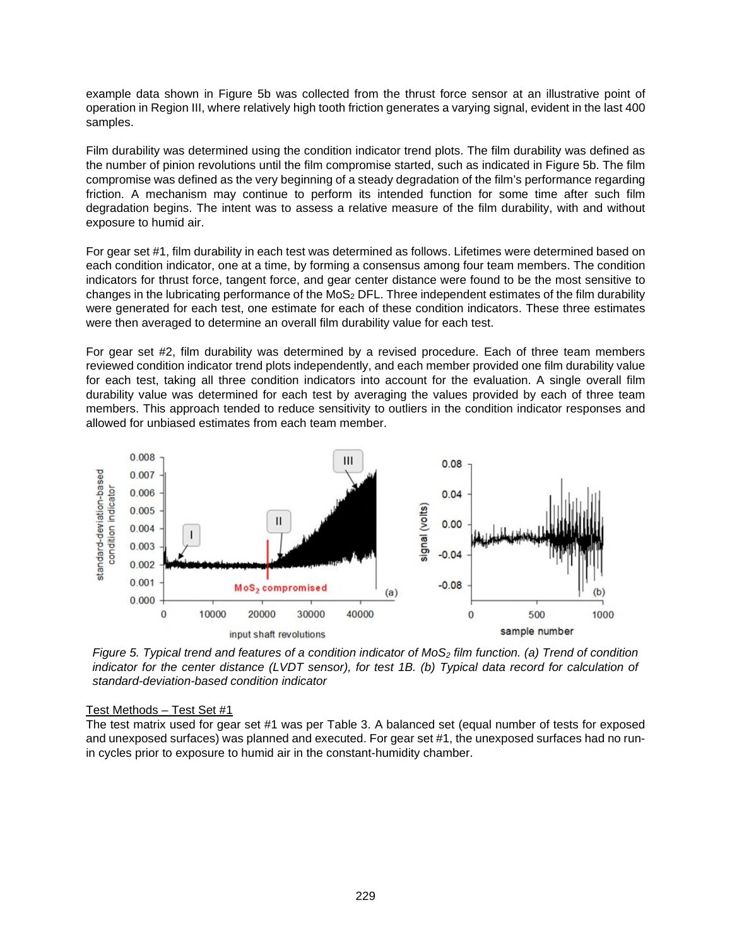example data shown in Figure 5b was collected from the thrust force sensor at an illustrative point of operation in Region III, where relatively high tooth friction generates a varying signal, evident in the last 400 samples.

Film durability was determined using the condition indicator trend plots. The film durability was defined as the number of pinion revolutions until the film compromise started, such as indicated in Figure 5b. The film compromise was defined as the very beginning of a steady degradation of the film's performance regarding friction. A mechanism may continue to perform its intended function for some time after such film degradation begins. The intent was to assess a relative measure of the film durability, with and without exposure to humid air.

For gear set #1, film durability in each test was determined as follows. Lifetimes were determined based on each condition indicator, one at a time, by forming a consensus among four team members. The condition indicators for thrust force, tangent force, and gear center distance were found to be the most sensitive to changes in the lubricating performance of the MoS<sub>2</sub> DFL. Three independent estimates of the film durability were generated for each test, one estimate for each of these condition indicators. These three estimates were then averaged to determine an overall film durability value for each test.

For gear set #2, film durability was determined by a revised procedure. Each of three team members reviewed condition indicator trend plots independently, and each member provided one film durability value for each test, taking all three condition indicators into account for the evaluation. A single overall film durability value was determined for each test by averaging the values provided by each of three team members. This approach tended to reduce sensitivity to outliers in the condition indicator responses and allowed for unbiased estimates from each team member.



*Figure 5. Typical trend and features of a condition indicator of MoS2 film function. (a) Trend of condition indicator for the center distance (LVDT sensor), for test 1B. (b) Typical data record for calculation of standard-deviation-based condition indicator*

### Test Methods – Test Set #1

The test matrix used for gear set #1 was per Table 3. A balanced set (equal number of tests for exposed and unexposed surfaces) was planned and executed. For gear set #1, the unexposed surfaces had no runin cycles prior to exposure to humid air in the constant-humidity chamber.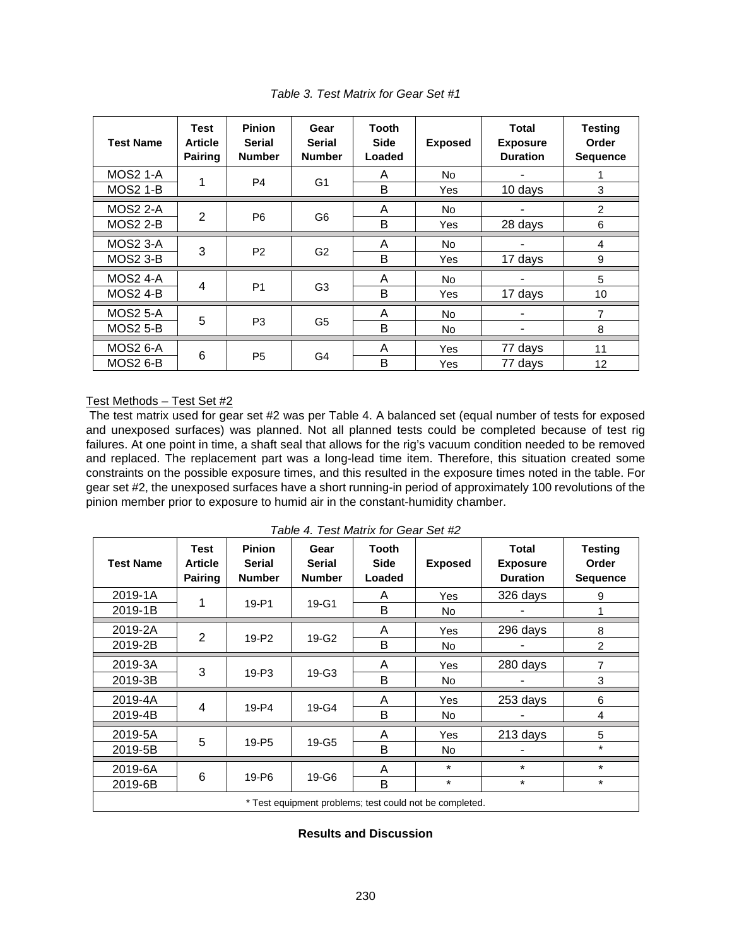| <b>Test Name</b> | <b>Test</b><br><b>Article</b><br>Pairing | <b>Pinion</b><br><b>Serial</b><br><b>Number</b> | Gear<br>Serial<br><b>Number</b> | Tooth<br><b>Side</b><br>Loaded | <b>Exposed</b> | Total<br><b>Exposure</b><br><b>Duration</b> | <b>Testing</b><br>Order<br><b>Sequence</b> |
|------------------|------------------------------------------|-------------------------------------------------|---------------------------------|--------------------------------|----------------|---------------------------------------------|--------------------------------------------|
| <b>MOS2 1-A</b>  | 1                                        | P <sub>4</sub>                                  | G <sub>1</sub>                  | A                              | No.            |                                             | 1                                          |
| <b>MOS2 1-B</b>  |                                          |                                                 |                                 | B                              | Yes            | 10 days                                     | 3                                          |
| <b>MOS2 2-A</b>  |                                          |                                                 | G6                              | A                              | <b>No</b>      |                                             | $\overline{2}$                             |
| <b>MOS2 2-B</b>  | $\overline{2}$                           | P <sub>6</sub>                                  |                                 | B                              | Yes            | 28 days                                     | 6                                          |
| <b>MOS2 3-A</b>  | 3                                        | P <sub>2</sub>                                  | G <sub>2</sub>                  | A                              | <b>No</b>      |                                             | 4                                          |
| <b>MOS2 3-B</b>  |                                          |                                                 |                                 | B                              | Yes            | 17 days                                     | 9                                          |
| <b>MOS2 4-A</b>  | 4                                        | P <sub>1</sub>                                  | G <sub>3</sub>                  | A                              | No.            |                                             | 5                                          |
| <b>MOS2 4-B</b>  |                                          |                                                 |                                 | B                              | Yes            | 17 days                                     | 10                                         |
| <b>MOS2 5-A</b>  | 5                                        | P <sub>3</sub>                                  | G <sub>5</sub>                  | A                              | No.            |                                             | 7                                          |
| <b>MOS2 5-B</b>  |                                          |                                                 |                                 | B                              | No.            |                                             | 8                                          |
| <b>MOS2 6-A</b>  | 6                                        | P <sub>5</sub>                                  | G4                              | A                              | Yes            | 77 days                                     | 11                                         |
| <b>MOS2 6-B</b>  |                                          |                                                 |                                 | B                              | Yes            | 77 days                                     | 12                                         |

*Table 3. Test Matrix for Gear Set #1* 

### Test Methods – Test Set #2

 The test matrix used for gear set #2 was per Table 4. A balanced set (equal number of tests for exposed and unexposed surfaces) was planned. Not all planned tests could be completed because of test rig failures. At one point in time, a shaft seal that allows for the rig's vacuum condition needed to be removed and replaced. The replacement part was a long-lead time item. Therefore, this situation created some constraints on the possible exposure times, and this resulted in the exposure times noted in the table. For gear set #2, the unexposed surfaces have a short running-in period of approximately 100 revolutions of the pinion member prior to exposure to humid air in the constant-humidity chamber.

| <b>Test Name</b>                                        | <b>Test</b><br><b>Article</b><br><b>Pairing</b> | <b>Pinion</b><br><b>Serial</b><br><b>Number</b> | Gear<br><b>Serial</b><br><b>Number</b> | <b>Tooth</b><br><b>Side</b><br>Loaded | <b>Exposed</b> | Total<br><b>Exposure</b><br><b>Duration</b> | <b>Testing</b><br>Order<br><b>Sequence</b> |
|---------------------------------------------------------|-------------------------------------------------|-------------------------------------------------|----------------------------------------|---------------------------------------|----------------|---------------------------------------------|--------------------------------------------|
| 2019-1A                                                 | 1                                               |                                                 |                                        | A                                     | Yes            | 326 days                                    | 9                                          |
| 2019-1B                                                 |                                                 | 19-P1                                           | $19-G1$                                | B                                     | No.            |                                             | 1                                          |
| 2019-2A                                                 |                                                 |                                                 | 19-G2                                  | A                                     | Yes            | 296 days                                    | 8                                          |
| 2019-2B                                                 | $\overline{2}$                                  | 19-P <sub>2</sub>                               |                                        | B                                     | <b>No</b>      |                                             | $\overline{2}$                             |
| 2019-3A                                                 | 3                                               |                                                 | 19-G3                                  | A                                     | Yes            | 280 days                                    | 7                                          |
| 2019-3B                                                 |                                                 | $19 - P3$                                       |                                        | B                                     | <b>No</b>      |                                             | 3                                          |
| 2019-4A                                                 | $\overline{4}$                                  |                                                 | 19-G4                                  | A                                     | Yes            | 253 days                                    | 6                                          |
| 2019-4B                                                 |                                                 | 19-P4                                           |                                        | B                                     | No.            |                                             | 4                                          |
| 2019-5A                                                 |                                                 |                                                 | 19-G5                                  | A                                     | Yes            | 213 days                                    | 5                                          |
| 2019-5B                                                 | 5                                               | 19-P <sub>5</sub>                               |                                        | B                                     | No.            |                                             | $\star$                                    |
| 2019-6A                                                 | 6                                               | 19-P <sub>6</sub>                               | 19-G6                                  | A                                     | $\star$        | $\star$                                     | $\star$                                    |
| 2019-6B                                                 |                                                 |                                                 |                                        | B                                     | $\star$        | $\star$                                     | $\star$                                    |
| * Test equipment problems; test could not be completed. |                                                 |                                                 |                                        |                                       |                |                                             |                                            |

*Table 4. Test Matrix for Gear Set #2* 

**Results and Discussion**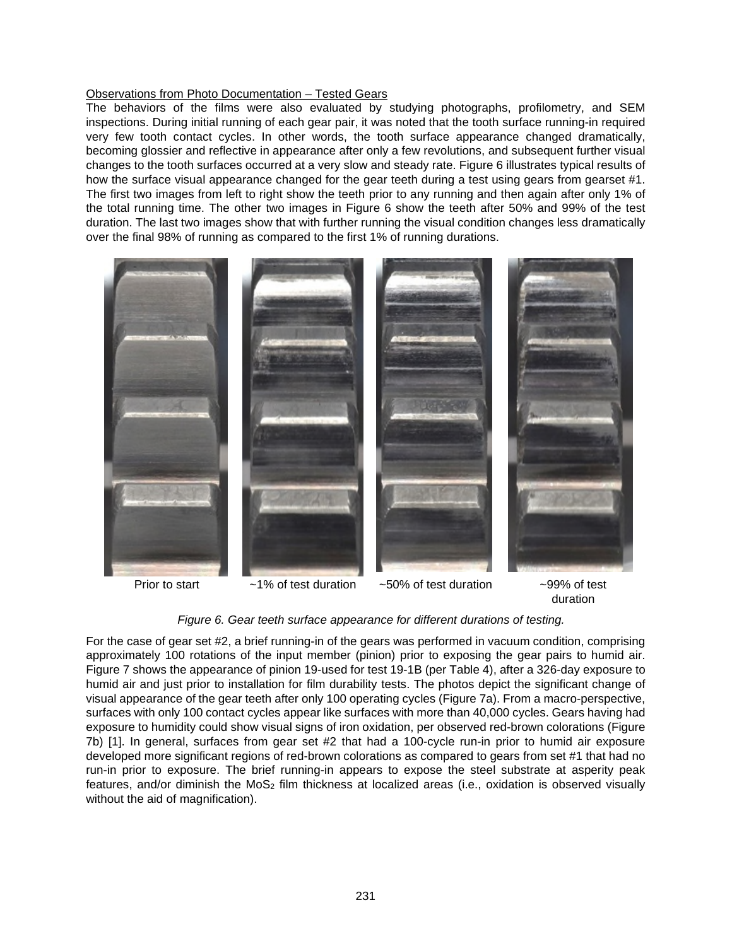### Observations from Photo Documentation – Tested Gears

The behaviors of the films were also evaluated by studying photographs, profilometry, and SEM inspections. During initial running of each gear pair, it was noted that the tooth surface running-in required very few tooth contact cycles. In other words, the tooth surface appearance changed dramatically, becoming glossier and reflective in appearance after only a few revolutions, and subsequent further visual changes to the tooth surfaces occurred at a very slow and steady rate. Figure 6 illustrates typical results of how the surface visual appearance changed for the gear teeth during a test using gears from gearset #1. The first two images from left to right show the teeth prior to any running and then again after only 1% of the total running time. The other two images in Figure 6 show the teeth after 50% and 99% of the test duration. The last two images show that with further running the visual condition changes less dramatically over the final 98% of running as compared to the first 1% of running durations.





*Figure 6. Gear teeth surface appearance for different durations of testing.* 

For the case of gear set #2, a brief running-in of the gears was performed in vacuum condition, comprising approximately 100 rotations of the input member (pinion) prior to exposing the gear pairs to humid air. Figure 7 shows the appearance of pinion 19-used for test 19-1B (per Table 4), after a 326-day exposure to humid air and just prior to installation for film durability tests. The photos depict the significant change of visual appearance of the gear teeth after only 100 operating cycles (Figure 7a). From a macro-perspective, surfaces with only 100 contact cycles appear like surfaces with more than 40,000 cycles. Gears having had exposure to humidity could show visual signs of iron oxidation, per observed red-brown colorations (Figure 7b) [1]. In general, surfaces from gear set #2 that had a 100-cycle run-in prior to humid air exposure developed more significant regions of red-brown colorations as compared to gears from set #1 that had no run-in prior to exposure. The brief running-in appears to expose the steel substrate at asperity peak features, and/or diminish the MoS<sub>2</sub> film thickness at localized areas (i.e., oxidation is observed visually without the aid of magnification).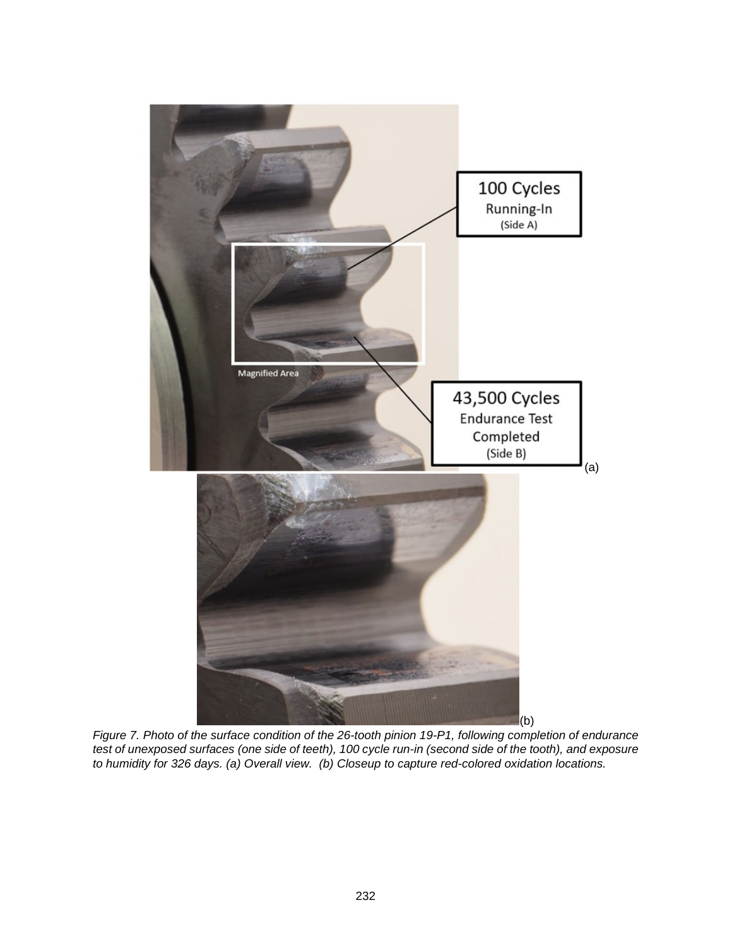

*Figure 7. Photo of the surface condition of the 26-tooth pinion 19-P1, following completion of endurance test of unexposed surfaces (one side of teeth), 100 cycle run-in (second side of the tooth), and exposure to humidity for 326 days. (a) Overall view. (b) Closeup to capture red-colored oxidation locations.*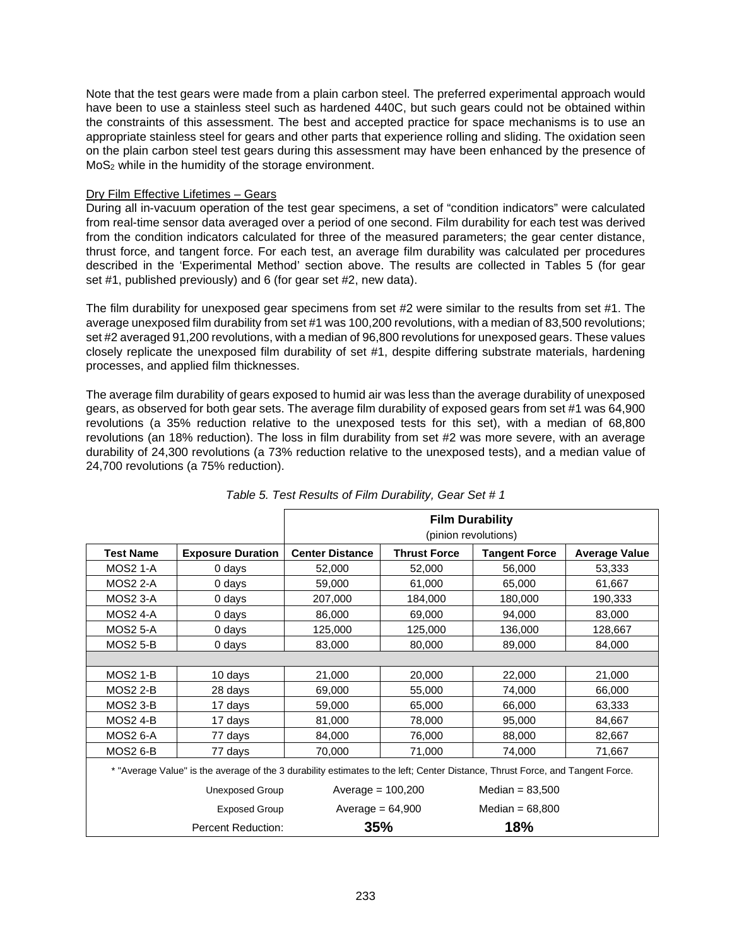Note that the test gears were made from a plain carbon steel. The preferred experimental approach would have been to use a stainless steel such as hardened 440C, but such gears could not be obtained within the constraints of this assessment. The best and accepted practice for space mechanisms is to use an appropriate stainless steel for gears and other parts that experience rolling and sliding. The oxidation seen on the plain carbon steel test gears during this assessment may have been enhanced by the presence of MoS2 while in the humidity of the storage environment.

### Dry Film Effective Lifetimes – Gears

During all in-vacuum operation of the test gear specimens, a set of "condition indicators" were calculated from real-time sensor data averaged over a period of one second. Film durability for each test was derived from the condition indicators calculated for three of the measured parameters; the gear center distance, thrust force, and tangent force. For each test, an average film durability was calculated per procedures described in the 'Experimental Method' section above. The results are collected in Tables 5 (for gear set #1, published previously) and 6 (for gear set #2, new data).

The film durability for unexposed gear specimens from set #2 were similar to the results from set #1. The average unexposed film durability from set #1 was 100,200 revolutions, with a median of 83,500 revolutions; set #2 averaged 91,200 revolutions, with a median of 96,800 revolutions for unexposed gears. These values closely replicate the unexposed film durability of set #1, despite differing substrate materials, hardening processes, and applied film thicknesses.

The average film durability of gears exposed to humid air was less than the average durability of unexposed gears, as observed for both gear sets. The average film durability of exposed gears from set #1 was 64,900 revolutions (a 35% reduction relative to the unexposed tests for this set), with a median of 68,800 revolutions (an 18% reduction). The loss in film durability from set #2 was more severe, with an average durability of 24,300 revolutions (a 73% reduction relative to the unexposed tests), and a median value of 24,700 revolutions (a 75% reduction).

|                                                                                                                               |                           | <b>Film Durability</b><br>(pinion revolutions) |                     |                      |                      |  |
|-------------------------------------------------------------------------------------------------------------------------------|---------------------------|------------------------------------------------|---------------------|----------------------|----------------------|--|
| <b>Test Name</b>                                                                                                              | <b>Exposure Duration</b>  | <b>Center Distance</b>                         | <b>Thrust Force</b> | <b>Tangent Force</b> | <b>Average Value</b> |  |
| <b>MOS2 1-A</b>                                                                                                               | 0 days                    | 52,000                                         | 52,000              | 56,000               | 53,333               |  |
| <b>MOS2 2-A</b>                                                                                                               | 0 days                    | 59,000                                         | 61,000              | 65,000               | 61,667               |  |
| <b>MOS2 3-A</b>                                                                                                               | 0 days                    | 207,000                                        | 184,000             | 180,000              | 190,333              |  |
| <b>MOS2 4-A</b>                                                                                                               | 0 days                    | 86,000                                         | 69,000              | 94,000               | 83,000               |  |
| <b>MOS2 5-A</b>                                                                                                               | 0 days                    | 125,000                                        | 125,000             | 136,000              | 128,667              |  |
| <b>MOS2 5-B</b>                                                                                                               | 0 days                    | 83,000                                         | 80,000              | 89,000               | 84,000               |  |
|                                                                                                                               |                           |                                                |                     |                      |                      |  |
| <b>MOS2 1-B</b>                                                                                                               | 10 days                   | 21,000                                         | 20,000              | 22,000               | 21,000               |  |
| <b>MOS2 2-B</b>                                                                                                               | 28 days                   | 69,000                                         | 55,000              | 74,000               | 66,000               |  |
| <b>MOS2 3-B</b>                                                                                                               | 17 days                   | 59,000                                         | 65,000              | 66,000               | 63,333               |  |
| <b>MOS2 4-B</b>                                                                                                               | 17 days                   | 81,000                                         | 78,000              | 95,000               | 84,667               |  |
| <b>MOS2 6-A</b>                                                                                                               | 77 days                   | 84,000                                         | 76,000              | 88,000               | 82,667               |  |
| <b>MOS2 6-B</b>                                                                                                               | 77 days                   | 70,000                                         | 71,000              | 74,000               | 71,667               |  |
| * "Average Value" is the average of the 3 durability estimates to the left; Center Distance, Thrust Force, and Tangent Force. |                           |                                                |                     |                      |                      |  |
| Unexposed Group                                                                                                               |                           | Average $= 100,200$                            |                     | Median = $83,500$    |                      |  |
|                                                                                                                               | <b>Exposed Group</b>      | Average = $64,900$                             |                     | Median = $68,800$    |                      |  |
|                                                                                                                               | <b>Percent Reduction:</b> | 35%                                            |                     | 18%                  |                      |  |

*Table 5. Test Results of Film Durability, Gear Set # 1*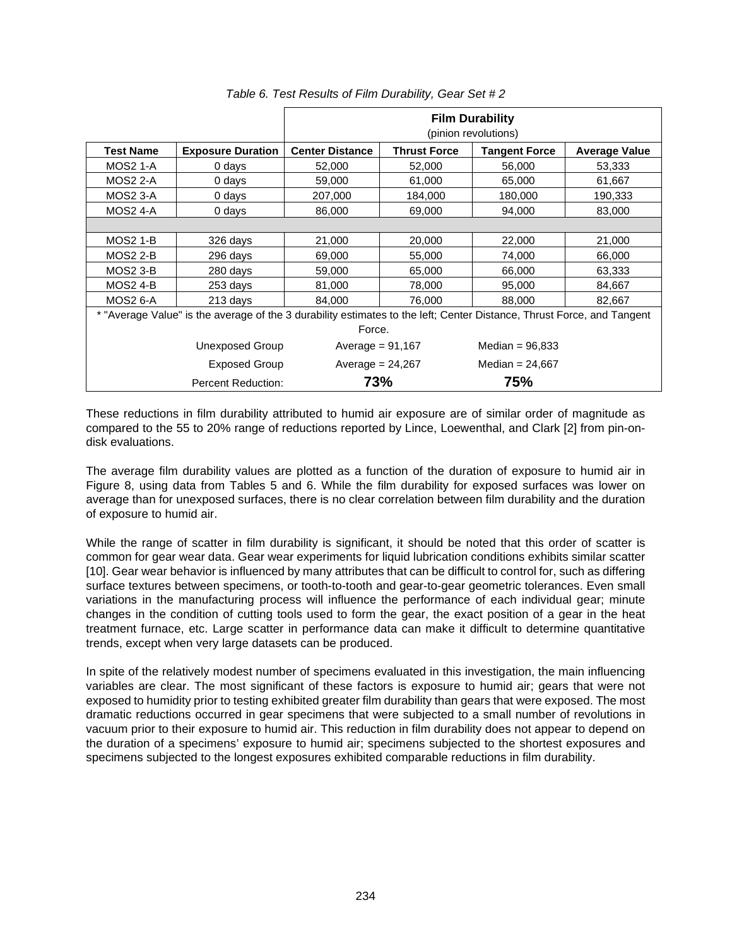|                  |                                                                                                                        | <b>Film Durability</b><br>(pinion revolutions) |                     |                      |                      |  |  |
|------------------|------------------------------------------------------------------------------------------------------------------------|------------------------------------------------|---------------------|----------------------|----------------------|--|--|
| <b>Test Name</b> | <b>Exposure Duration</b>                                                                                               | <b>Center Distance</b>                         | <b>Thrust Force</b> | <b>Tangent Force</b> | <b>Average Value</b> |  |  |
| <b>MOS2 1-A</b>  | 0 days                                                                                                                 | 52,000                                         | 52,000              | 56,000               | 53,333               |  |  |
| <b>MOS2 2-A</b>  | 0 days                                                                                                                 | 59,000                                         | 61,000              | 65,000               | 61,667               |  |  |
| MOS2 3-A         | 0 days                                                                                                                 | 207,000                                        | 184,000             | 180,000              | 190,333              |  |  |
| <b>MOS2 4-A</b>  | 0 days                                                                                                                 | 86,000                                         | 69,000              | 94,000               | 83,000               |  |  |
|                  |                                                                                                                        |                                                |                     |                      |                      |  |  |
| <b>MOS2 1-B</b>  | 326 days                                                                                                               | 21,000                                         | 20,000              | 22,000               | 21,000               |  |  |
| <b>MOS2 2-B</b>  | 296 days                                                                                                               | 69,000                                         | 55,000              | 74,000               | 66,000               |  |  |
| <b>MOS2 3-B</b>  | 280 days                                                                                                               | 59,000                                         | 65,000              | 66,000               | 63,333               |  |  |
| <b>MOS2 4-B</b>  | 253 days                                                                                                               | 81,000                                         | 78,000              | 95,000               | 84,667               |  |  |
| <b>MOS2 6-A</b>  | 213 days                                                                                                               | 84,000                                         | 76,000              | 88,000               | 82,667               |  |  |
|                  | * "Average Value" is the average of the 3 durability estimates to the left; Center Distance, Thrust Force, and Tangent |                                                |                     |                      |                      |  |  |
| Force.           |                                                                                                                        |                                                |                     |                      |                      |  |  |
|                  | Unexposed Group                                                                                                        | Average = $91,167$                             |                     | Median = $96,833$    |                      |  |  |
|                  | Exposed Group                                                                                                          |                                                | Average = $24,267$  |                      |                      |  |  |
|                  | Percent Reduction:                                                                                                     | 73%                                            |                     | 75%                  |                      |  |  |

# *Table 6. Test Results of Film Durability, Gear Set # 2*

These reductions in film durability attributed to humid air exposure are of similar order of magnitude as compared to the 55 to 20% range of reductions reported by Lince, Loewenthal, and Clark [2] from pin-ondisk evaluations.

The average film durability values are plotted as a function of the duration of exposure to humid air in Figure 8, using data from Tables 5 and 6. While the film durability for exposed surfaces was lower on average than for unexposed surfaces, there is no clear correlation between film durability and the duration of exposure to humid air.

While the range of scatter in film durability is significant, it should be noted that this order of scatter is common for gear wear data. Gear wear experiments for liquid lubrication conditions exhibits similar scatter [10]. Gear wear behavior is influenced by many attributes that can be difficult to control for, such as differing surface textures between specimens, or tooth-to-tooth and gear-to-gear geometric tolerances. Even small variations in the manufacturing process will influence the performance of each individual gear; minute changes in the condition of cutting tools used to form the gear, the exact position of a gear in the heat treatment furnace, etc. Large scatter in performance data can make it difficult to determine quantitative trends, except when very large datasets can be produced.

In spite of the relatively modest number of specimens evaluated in this investigation, the main influencing variables are clear. The most significant of these factors is exposure to humid air; gears that were not exposed to humidity prior to testing exhibited greater film durability than gears that were exposed. The most dramatic reductions occurred in gear specimens that were subjected to a small number of revolutions in vacuum prior to their exposure to humid air. This reduction in film durability does not appear to depend on the duration of a specimens' exposure to humid air; specimens subjected to the shortest exposures and specimens subjected to the longest exposures exhibited comparable reductions in film durability.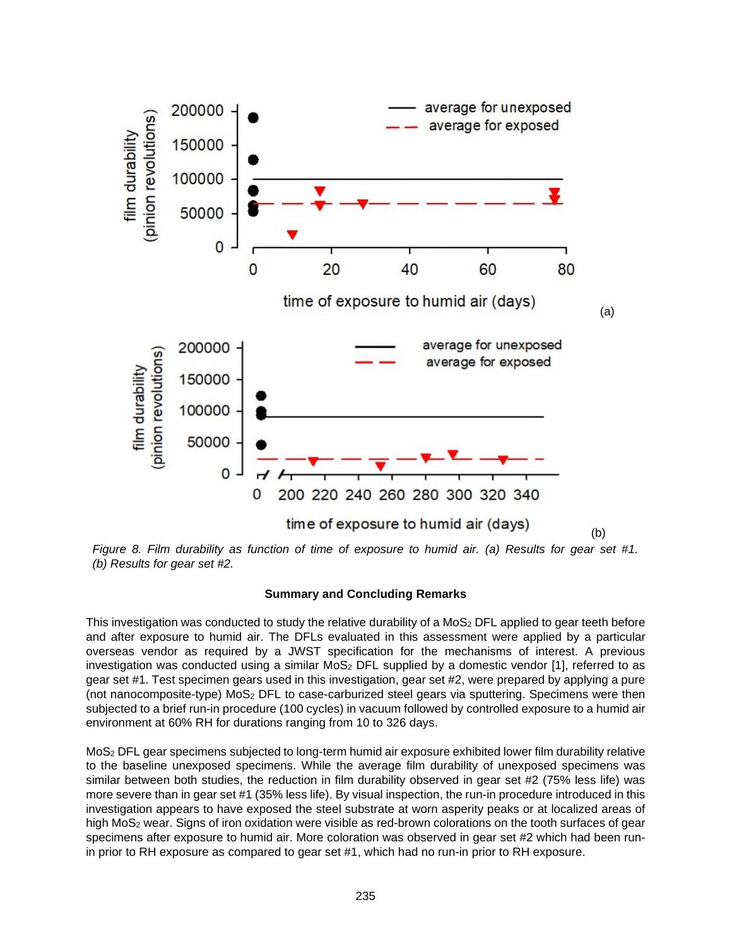

*Figure 8. Film durability as function of time of exposure to humid air. (a) Results for gear set #1. (b) Results for gear set #2.* 

#### **Summary and Concluding Remarks**

This investigation was conducted to study the relative durability of a MoS<sub>2</sub> DFL applied to gear teeth before and after exposure to humid air. The DFLs evaluated in this assessment were applied by a particular overseas vendor as required by a JWST specification for the mechanisms of interest. A previous investigation was conducted using a similar  $MoS<sub>2</sub>$  DFL supplied by a domestic vendor [1], referred to as gear set #1. Test specimen gears used in this investigation, gear set #2, were prepared by applying a pure (not nanocomposite-type) MoS2 DFL to case-carburized steel gears via sputtering. Specimens were then subjected to a brief run-in procedure (100 cycles) in vacuum followed by controlled exposure to a humid air environment at 60% RH for durations ranging from 10 to 326 days.

MoS2 DFL gear specimens subjected to long-term humid air exposure exhibited lower film durability relative to the baseline unexposed specimens. While the average film durability of unexposed specimens was similar between both studies, the reduction in film durability observed in gear set #2 (75% less life) was more severe than in gear set #1 (35% less life). By visual inspection, the run-in procedure introduced in this investigation appears to have exposed the steel substrate at worn asperity peaks or at localized areas of high MoS2 wear. Signs of iron oxidation were visible as red-brown colorations on the tooth surfaces of gear specimens after exposure to humid air. More coloration was observed in gear set #2 which had been runin prior to RH exposure as compared to gear set #1, which had no run-in prior to RH exposure.